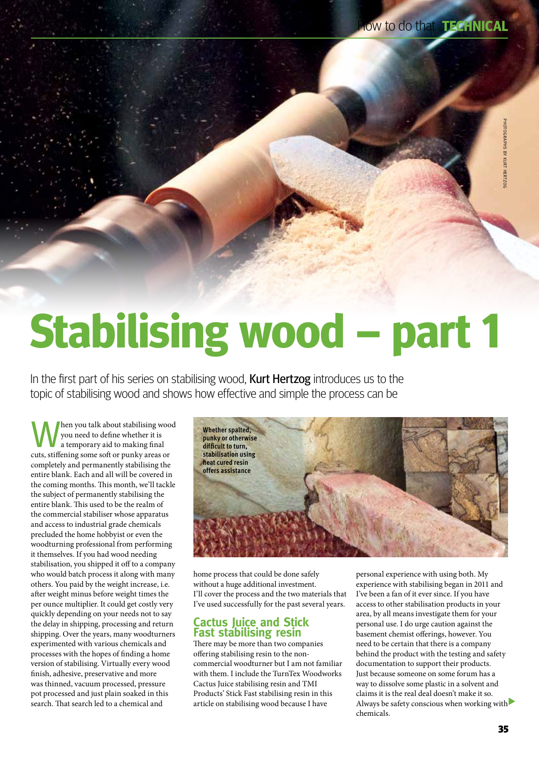# **Stabilising wood – part 1**

In the first part of his series on stabilising wood, **Kurt Hertzog** introduces us to the topic of stabilising wood and shows how effective and simple the process can be

When you talk about stabilising wood<br>you need to define whether it is<br>attemporary aid to making final you need to define whether it is a temporary aid to making final cuts, stiffening some soft or punky areas or completely and permanently stabilising the entire blank. Each and all will be covered in the coming months. This month, we'll tackle the subject of permanently stabilising the entire blank. This used to be the realm of the commercial stabiliser whose apparatus and access to industrial grade chemicals precluded the home hobbyist or even the woodturning professional from performing it themselves. If you had wood needing stabilisation, you shipped it off to a company who would batch process it along with many others. You paid by the weight increase, i.e. after weight minus before weight times the per ounce multiplier. It could get costly very quickly depending on your needs not to say the delay in shipping, processing and return shipping. Over the years, many woodturners experimented with various chemicals and processes with the hopes of finding a home version of stabilising. Virtually every wood finish, adhesive, preservative and more was thinned, vacuum processed, pressure pot processed and just plain soaked in this search. That search led to a chemical and



home process that could be done safely without a huge additional investment. I'll cover the process and the two materials that I've used successfully for the past several years.

# **Cactus Juice and Stick Fast stabilising resin**

There may be more than two companies offering stabilising resin to the noncommercial woodturner but I am not familiar with them. I include the TurnTex Woodworks Cactus Juice stabilising resin and TMI Products' Stick Fast stabilising resin in this article on stabilising wood because I have

personal experience with using both. My experience with stabilising began in 2011 and I've been a fan of it ever since. If you have access to other stabilisation products in your area, by all means investigate them for your personal use. I do urge caution against the basement chemist offerings, however. You need to be certain that there is a company behind the product with the testing and safety documentation to support their products. Just because someone on some forum has a way to dissolve some plastic in a solvent and claims it is the real deal doesn't make it so. Always be safety conscious when working with chemicals.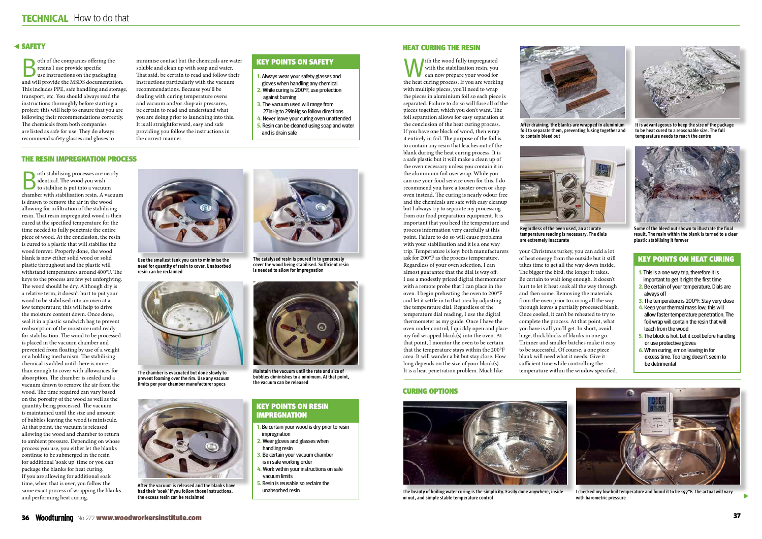$\blacktriangleright$ 

oth of the companies offering the<br>
resins I use provide specific<br>
use instructions on the packaging<br>
and will provide the MSDS documentation resins I use provide specific and will provide the MSDS documentation. This includes PPE, safe handling and storage, transport, etc. You should always read the instructions thoroughly before starting a project; this will help to ensure that you are following their recommendations correctly. The chemicals from both companies are listed as safe for use. They do always recommend safety glasses and gloves to

minimise contact but the chemicals are water soluble and clean up with soap and water. That said, be certain to read and follow their instructions particularly with the vacuum recommendations. Because you'll be dealing with curing temperature ovens and vacuum and/or shop air pressures, be certain to read and understand what you are doing prior to launching into this. It is all straightforward, easy and safe providing you follow the instructions in

the correct manner.

oth stabilising processes are nearly identical. The wood you wish to stabilise is put into a vacuum chamber with stabilisation resin. A vacuum is drawn to remove the air in the wood allowing for infiltration of the stabilising resin. That resin impregnated wood is then cured at the specified temperature for the time needed to fully penetrate the entire piece of wood. At the conclusion, the resin is cured to a plastic that will stabilise the wood forever. Properly done, the wood blank is now either solid wood or solid plastic throughout and the plastic will withstand temperatures around 400°F. The keys to the process are few yet unforgiving. The wood should be dry. Although dry is a relative term, it doesn't hurt to put your wood to be stabilised into an oven at a low temperature; this will help to drive the moisture content down. Once done, seal it in a plastic sandwich bag to prevent reabsorption of the moisture until ready for stabilisation. The wood to be processed is placed in the vacuum chamber and prevented from floating by use of a weight or a holding mechanism. The stabilising chemical is added until there is more than enough to cover with allowances for absorption. The chamber is sealed and a vacuum drawn to remove the air from the wood. The time required can vary based on the porosity of the wood as well as the quantity being processed. The vacuum is maintained until the size and amount of bubbles leaving the wood is miniscule. At that point, the vacuum is released allowing the wood and chamber to return to ambient pressure. Depending on whose process you use, you either let the blanks continue to be submerged in the resin for additional 'soak up' time or you can package the blanks for heat curing. If you are allowing for additional soak time, when that is over, you follow the same exact process of wrapping the blanks and performing heat curing.



# Safety

With the wood fully impregnated<br>with the stabilisation resin, you<br>the heat grow prepare your wood for with the stabilisation resin, you the heat curing process. If you are working with multiple pieces, you'll need to wrap the pieces in aluminium foil so each piece is separated. Failure to do so will fuse all of the pieces together, which you don't want. The foil separation allows for easy separation at the conclusion of the heat curing process. If you have one block of wood, then wrap it entirely in foil. The purpose of the foil is to contain any resin that leaches out of the blank during the heat curing process. It is a safe plastic but it will make a clean up of the oven necessary unless you contain it in the aluminium foil overwrap. While you can use your food service oven for this, I do recommend you have a toaster oven or shop oven instead. The curing is nearly odour free and the chemicals are safe with easy cleanup but I always try to separate my processing from our food preparation equipment. It is important that you heed the temperature and process information very carefully at this point. Failure to do so will cause problems with your stabilisation and it is a one way trip. Temperature is key: both manufacturers ask for 200°F as the process temperature. Regardless of your oven selection, I can almost guarantee that the dial is way off. I use a modestly priced digital thermometer with a remote probe that I can place in the oven. I begin preheating the oven to 200°F and let it settle in to that area by adjusting the temperature dial. Regardless of the temperature dial reading, I use the digital thermometer as my guide. Once I have the oven under control, I quickly open and place my foil wrapped blank(s) into the oven. At that point, I monitor the oven to be certain that the temperature stays within the 200°F area. It will wander a bit but stay close. How long depends on the size of your blank(s). It is a heat penetration problem. Much like

#### The resin impregnation process

# Heat curing the resin

# Key points on resin **IMPREGNATION**



**The beauty of boiling water curing is the simplicity. Easily done anywhere, inside or out, and simple stable temperature control**

**After draining, the blanks are wrapped in aluminium** 



**foil to separate them, preventing fusing together and to contain bleed out**

**I checked my low boil temperature and found it to be 197°F. The actual will vary with barometric pressure**

**Use the smallest tank you can to minimise the need for quantity of resin to cover. Unabsorbed resin can be reclaimed**



**The chamber is evacuated but done slowly to prevent foaming over the rim. Use any vacuum limits per your chamber manufacturer specs**



**After the vacuum is released and the blanks have had their 'soak' if you follow those instructions, the excess resin can be reclaimed**

**The catalysed resin is poured in to generously cover the wood being stabilised. Sufficient resin** 

**is needed to allow for impregnation**

**Maintain the vacuum until the rate and size of bubbles diminishes to a minimum. At that point, the vacuum can be released**



**Regardless of the oven used, an accurate temperature reading is necessary. The dials are extremely inaccurate**



**It is advantageous to keep the size of the package to be heat cured to a reasonable size. The full temperature needs to reach the centre**

![](_page_1_Picture_39.jpeg)

**Some of the bleed out shown to illustrate the final result. The resin within the blank is turned to a clear plastic stabilising it forever**

- **1.** Always wear your safety glasses and gloves when handling any chemical
- **2.** While curing is 200°F, use protection against burning
- **3.** The vacuum used will range from 27inHg to 29inHg so follow directions
- **4.** Never leave your curing oven unattended
- **5.** Resin can be cleaned using soap and water and is drain safe

# Key points on safety

- **1.** Be certain your wood is dry prior to resin impregnation
- **2.** Wear gloves and glasses when handling resin
- **3.** Be certain your vacuum chamber is in safe working order
- **4.** Work within your instructions on safe vacuum limits
- **5.** Resin is reusable so reclaim the unabsorbed resin

your Christmas turkey, you can add a lot of heat energy from the outside but it still takes time to get all the way down inside. The bigger the bird, the longer it takes. Be certain to wait long enough. It doesn't hurt to let it heat soak all the way through and then some. Removing the materials from the oven prior to curing all the way through leaves a partially processed blank. Once cooled, it can't be reheated to try to complete the process. At that point, what you have is all you'll get. In short, avoid huge, thick blocks of blanks in one go. Thinner and smaller batches make it easy to be successful. Of course, a one piece blank will need what it needs. Give it sufficient time while controlling the temperature within the window specified.

- **1.** This is a one way trip, therefore it is important to get it right the first time
- **2.** Be certain of your temperature. Dials are always off
- **3.** The temperature is 200°F. Stay very close
- **4.** Keep your thermal mass low; this will allow faster temperature penetration. The foil wrap will contain the resin that will leach from the wood
- **5.** The block is hot. Let it cool before handling or use protective gloves
- **6.** When curing, err on leaving in for excess time. Too long doesn't seem to be detrimental

### Key points on HEAT CURING